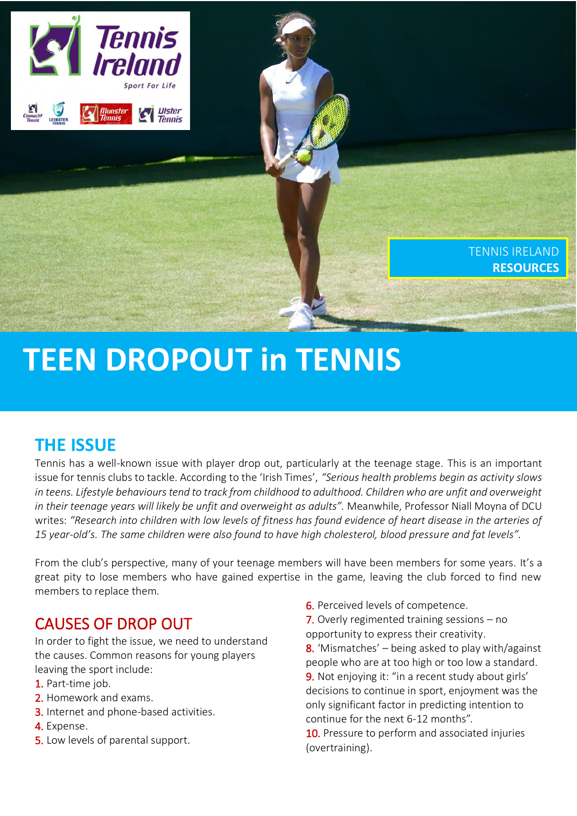

# **TEEN DROPOUT in TENNIS**

# **THE ISSUE**

Tennis has a well-known issue with player drop out, particularly at the teenage stage. This is an important issue for tennis clubs to tackle. According to the 'Irish Times', *"[Serious health problems begin as activity slows](http://www.irishtimes.com/news/health/serious-health-problems-begin-as-activity-slows-in-teens-1.2175829)  [in teens.](http://www.irishtimes.com/news/health/serious-health-problems-begin-as-activity-slows-in-teens-1.2175829) Lifestyle behaviours tend to track from childhood to adulthood. Children who are unfit and overweight in their teenage years will likely be unfit and overweight as adults".* Meanwhile, Professor Niall Moyna of DCU writes: *"Research into children with low levels of fitness has found evidence of heart disease in the arteries of 15 year-old's. The same children were also found to have high cholesterol, blood pressure and fat levels".*

From the club's perspective, many of your teenage members will have been members for some years. It's a great pity to lose members who have gained expertise in the game, leaving the club forced to find new members to replace them.

## CAUSES OF DROP OUT

In order to fight the issue, we need to understand the causes. Common reasons for young players leaving the sport include:

- 1. Part-time job.
- 2. Homework and exams.
- 3. Internet and phone-based activities.
- 4. Expense.
- 5. Low levels of parental support.

6. Perceived levels of competence.

7. Overly regimented training sessions - no opportunity to express their creativity. 8. 'Mismatches'  $-$  being asked to play with/against people who are at too high or too low a standard. 9. Not enjoying it: "in a recent study about girls' decisions to continue in sport, enjoyment was the only significant factor in predicting intention to continue for the next 6-12 months".

10. Pressure to perform and associated injuries (overtraining).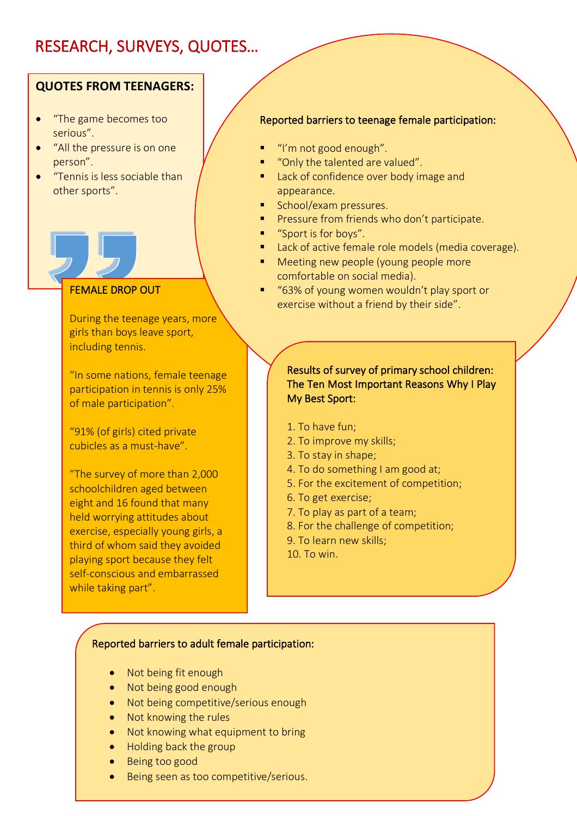# RESEARCH, SURVEYS, QUOTES…

#### **QUOTES FROM TEENAGERS:**

- "The game becomes too serious".
- "All the pressure is on one person".
- "Tennis is less sociable than other sports".

#### FEMALE DROP OUT

During the teenage years, more girls than boys leave sport, including tennis.

"In some nations, female teenage participation in tennis is only 25% of male participation".

"91% (of girls) cited private cubicles as a must-have".

"The survey of more than 2,000 schoolchildren aged between eight and 16 found that many held worrying attitudes about exercise, especially young girls, a third of whom said they avoided playing sport because they felt self-conscious and embarrassed while taking part".

#### Reported barriers to teenage female participation:

- "I'm not good enough".
- "Only the talented are valued".
- Lack of confidence over body image and appearance.
- School/exam pressures.
- Pressure from friends who don't participate.
- "Sport is for boys".
- Lack of active female role models (media coverage).
- Meeting new people (young people more comfortable on social media).
- "63% of young women wouldn't play sport or exercise without a friend by their side".

#### Results of survey of primary school children: The Ten Most Important Reasons Why I Play My Best Sport:

- 1. To have fun;
- 2. To improve my skills;
- 3. To stay in shape;
- 4. To do something I am good at;
- 5. For the excitement of competition;
- 6. To get exercise;
- 7. To play as part of a team;
- 8. For the challenge of competition;
- 9. To learn new skills;
- 10. To win.

#### Reported barriers to adult female participation:

- Not being fit enough
- Not being good enough
- Not being competitive/serious enough
- Not knowing the rules
- Not knowing what equipment to bring
- Holding back the group
- Being too good
- Being seen as too competitive/serious.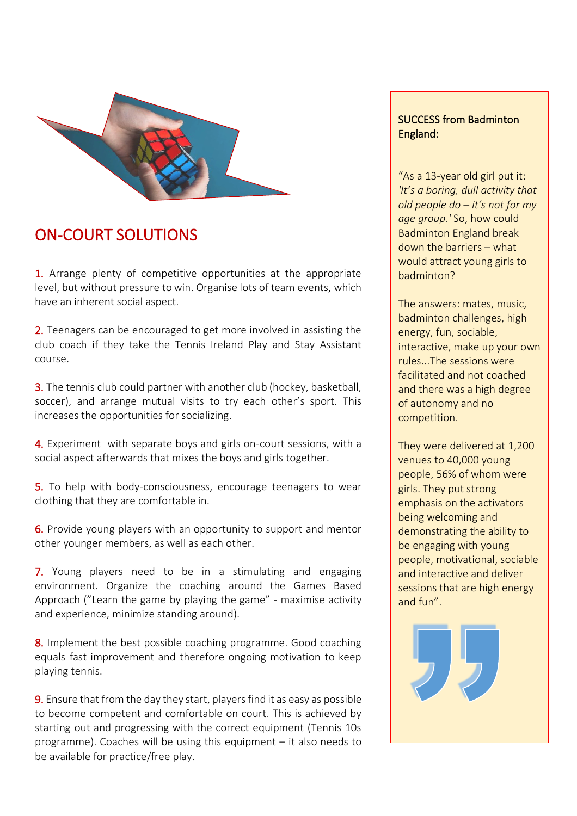

## ON-COURT SOLUTIONS

1. Arrange plenty of competitive opportunities at the appropriate level, but without pressure to win. Organise lots of team events, which have an inherent social aspect.

2. Teenagers can be encouraged to get more involved in assisting the club coach if they take the Tennis Ireland Play and Stay Assistant course.

3. The tennis club could partner with another club (hockey, basketball, soccer), and arrange mutual visits to try each other's sport. This increases the opportunities for socializing.

4. Experiment with separate boys and girls on-court sessions, with a social aspect afterwards that mixes the boys and girls together.

5. To help with body-consciousness, encourage teenagers to wear clothing that they are comfortable in.

6. Provide young players with an opportunity to support and mentor other younger members, as well as each other.

7. Young players need to be in a stimulating and engaging environment. Organize the coaching around the Games Based Approach ("Learn the game by playing the game" - maximise activity and experience, minimize standing around).

8. Implement the best possible coaching programme. Good coaching equals fast improvement and therefore ongoing motivation to keep playing tennis.

**9.** Ensure that from the day they start, players find it as easy as possible to become competent and comfortable on court. This is achieved by starting out and progressing with the correct equipment (Tennis 10s programme). Coaches will be using this equipment – it also needs to be available for practice/free play.

#### SUCCESS from Badminton England:

"As a 13-year old girl put it: *'It's a boring, dull activity that old people do – it's not for my age group.'* So, how could Badminton England break down the barriers – what would attract young girls to badminton?

The answers: mates, music, badminton challenges, high energy, fun, sociable, interactive, make up your own rules...The sessions were facilitated and not coached and there was a high degree of autonomy and no competition.

They were delivered at 1,200 venues to 40,000 young people, 56% of whom were girls. They put strong emphasis on the activators being welcoming and demonstrating the ability to be engaging with young people, motivational, sociable and interactive and deliver sessions that are high energy and fun".